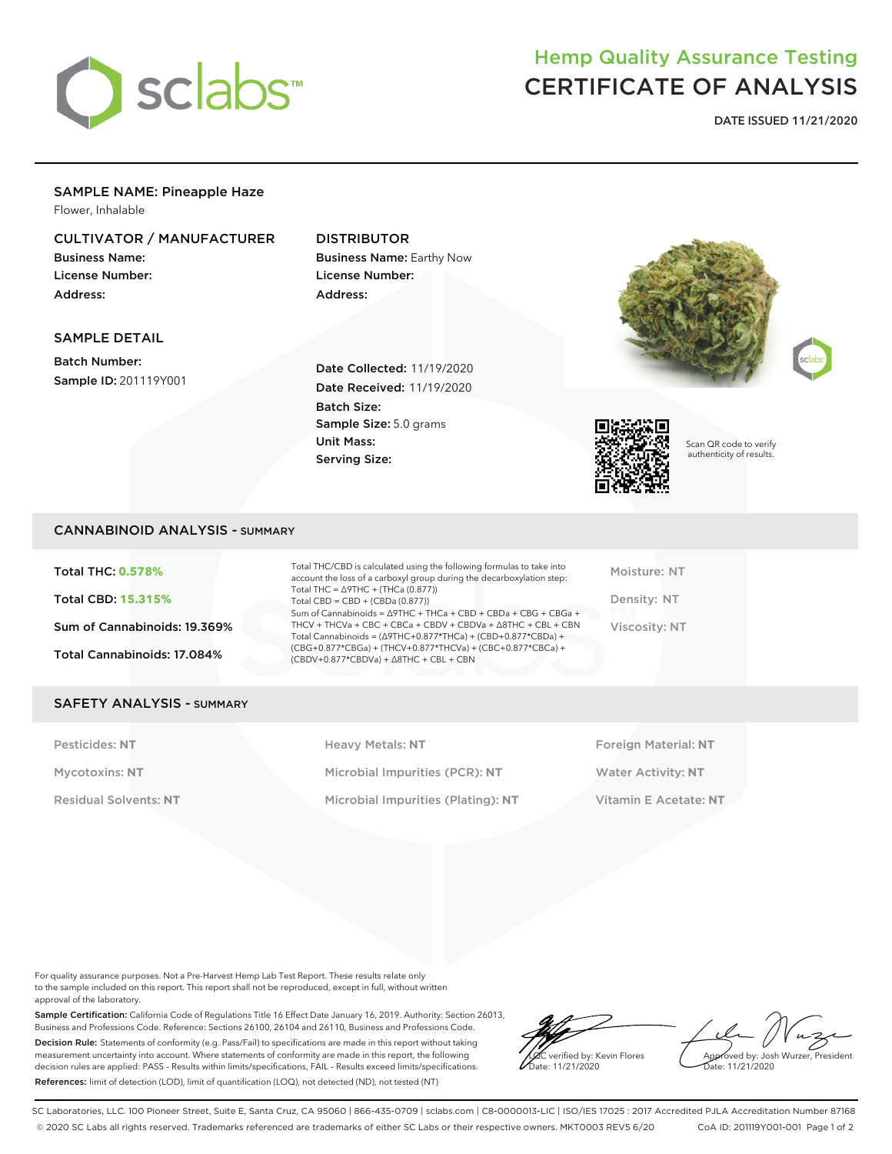

# Hemp Quality Assurance Testing CERTIFICATE OF ANALYSIS

**DATE ISSUED 11/21/2020**

# SAMPLE NAME: Pineapple Haze

Flower, Inhalable

# CULTIVATOR / MANUFACTURER

Business Name: License Number: Address:

# DISTRIBUTOR

Business Name: Earthy Now License Number: Address:

## SAMPLE DETAIL

Batch Number: Sample ID: 201119Y001

Date Collected: 11/19/2020 Date Received: 11/19/2020 Batch Size: Sample Size: 5.0 grams Unit Mass: Serving Size:







Scan QR code to verify authenticity of results.

## CANNABINOID ANALYSIS - SUMMARY

Total THC: **0.578%** Total CBD: **15.315%** Sum of Cannabinoids: 19.369% Total Cannabinoids: 17.084%

Total THC/CBD is calculated using the following formulas to take into account the loss of a carboxyl group during the decarboxylation step: Total THC = ∆9THC + (THCa (0.877)) Total  $CBD = CBD + (CBDa (0.877))$ Sum of Cannabinoids = ∆9THC + THCa + CBD + CBDa + CBG + CBGa + THCV + THCVa + CBC + CBCa + CBDV + CBDVa + ∆8THC + CBL + CBN Total Cannabinoids = (∆9THC+0.877\*THCa) + (CBD+0.877\*CBDa) + (CBG+0.877\*CBGa) + (THCV+0.877\*THCVa) + (CBC+0.877\*CBCa) + (CBDV+0.877\*CBDVa) + ∆8THC + CBL + CBN

Moisture: NT Density: NT Viscosity: NT

#### SAFETY ANALYSIS - SUMMARY

Pesticides: NT **All Accords** Heavy Metals: NT **Foreign Material: NT** Pesticides: NT Mycotoxins: **NT** Microbial Impurities (PCR): **NT** Water Activity: **NT** Residual Solvents: **NT** Microbial Impurities (Plating): **NT** Vitamin E Acetate: **NT**

For quality assurance purposes. Not a Pre-Harvest Hemp Lab Test Report. These results relate only to the sample included on this report. This report shall not be reproduced, except in full, without written approval of the laboratory.

Sample Certification: California Code of Regulations Title 16 Effect Date January 16, 2019. Authority: Section 26013, Business and Professions Code. Reference: Sections 26100, 26104 and 26110, Business and Professions Code. Decision Rule: Statements of conformity (e.g. Pass/Fail) to specifications are made in this report without taking measurement uncertainty into account. Where statements of conformity are made in this report, the following decision rules are applied: PASS – Results within limits/specifications, FAIL – Results exceed limits/specifications. References: limit of detection (LOD), limit of quantification (LOQ), not detected (ND), not tested (NT)

LQC verified by: Kevin Flores Date: 11/21/2020

Approved by: Josh Wurzer, President Date: 11/21/2020

SC Laboratories, LLC. 100 Pioneer Street, Suite E, Santa Cruz, CA 95060 | 866-435-0709 | sclabs.com | C8-0000013-LIC | ISO/IES 17025 : 2017 Accredited PJLA Accreditation Number 87168 © 2020 SC Labs all rights reserved. Trademarks referenced are trademarks of either SC Labs or their respective owners. MKT0003 REV5 6/20 CoA ID: 201119Y001-001 Page 1 of 2